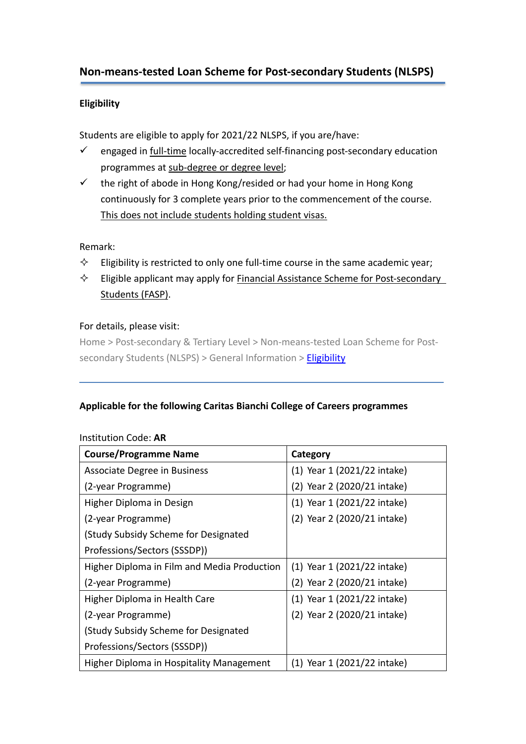# **Non-means-tested Loan Scheme for Post-secondary Students (NLSPS)**

## **Eligibility**

Students are eligible to apply for 2021/22 NLSPS, if you are/have:

- $\checkmark$  engaged in full-time locally-accredited self-financing post-secondary education programmes at sub-degree or degree level;
- $\checkmark$  the right of abode in Hong Kong/resided or had your home in Hong Kong continuously for 3 complete years prior to the commencement of the course. This does not include students holding student visas.

#### Remark:

- $\Diamond$  Eligibility is restricted to only one full-time course in the same academic year;
- $\Diamond$  Eligible applicant may apply for **Financial Assistance Scheme for Post-secondary** Students (FASP).

#### For details, please visit:

Home > Post-secondary & Tertiary Level > Non-means-tested Loan Scheme for Post-secondary Students (NLSPS) > General Information > [Eligibility](http://www.wfsfaa.gov.hk/sfo/en/postsecondary/nlsps/general/eligibility.htm)

#### **Applicable for the following Caritas Bianchi College of Careers programmes**

| <b>Course/Programme Name</b>                | Category                    |  |
|---------------------------------------------|-----------------------------|--|
| Associate Degree in Business                | (1) Year 1 (2021/22 intake) |  |
| (2-year Programme)                          | (2) Year 2 (2020/21 intake) |  |
| Higher Diploma in Design                    | (1) Year 1 (2021/22 intake) |  |
| (2-year Programme)                          | (2) Year 2 (2020/21 intake) |  |
| (Study Subsidy Scheme for Designated        |                             |  |
| Professions/Sectors (SSSDP))                |                             |  |
| Higher Diploma in Film and Media Production | (1) Year 1 (2021/22 intake) |  |
| (2-year Programme)                          | (2) Year 2 (2020/21 intake) |  |
| Higher Diploma in Health Care               | (1) Year 1 (2021/22 intake) |  |
| (2-year Programme)                          | (2) Year 2 (2020/21 intake) |  |
| (Study Subsidy Scheme for Designated        |                             |  |
| Professions/Sectors (SSSDP))                |                             |  |
| Higher Diploma in Hospitality Management    | (1) Year 1 (2021/22 intake) |  |

#### Institution Code: **AR**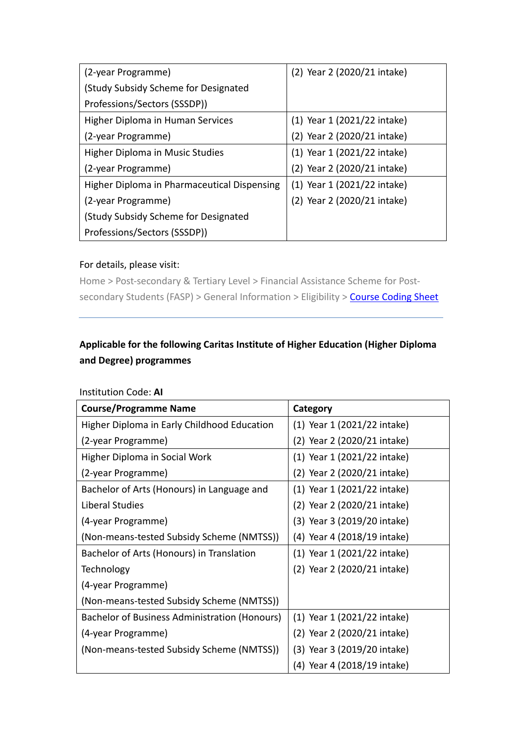| (2-year Programme)                          | (2) Year 2 (2020/21 intake) |  |
|---------------------------------------------|-----------------------------|--|
| (Study Subsidy Scheme for Designated        |                             |  |
| Professions/Sectors (SSSDP))                |                             |  |
| Higher Diploma in Human Services            | (1) Year 1 (2021/22 intake) |  |
| (2-year Programme)                          | (2) Year 2 (2020/21 intake) |  |
| <b>Higher Diploma in Music Studies</b>      | (1) Year 1 (2021/22 intake) |  |
| (2-year Programme)                          | (2) Year 2 (2020/21 intake) |  |
| Higher Diploma in Pharmaceutical Dispensing | (1) Year 1 (2021/22 intake) |  |
| (2-year Programme)                          | (2) Year 2 (2020/21 intake) |  |
| (Study Subsidy Scheme for Designated        |                             |  |
| Professions/Sectors (SSSDP))                |                             |  |

# For details, please visit:

Home > Post-secondary & Tertiary Level > Financial Assistance Scheme for Post-secondary Students (FASP) > General Information > Eligibility > [Course Coding Sheet](http://www.wfsfaa.gov.hk/sfo/pdf/common/faspcs/AR-CBCC.pdf)

# **Applicable for the following Caritas Institute of Higher Education (Higher Diploma and Degree) programmes**

| <b>Course/Programme Name</b>                         | Category                    |  |
|------------------------------------------------------|-----------------------------|--|
| Higher Diploma in Early Childhood Education          | (1) Year 1 (2021/22 intake) |  |
| (2-year Programme)                                   | (2) Year 2 (2020/21 intake) |  |
| Higher Diploma in Social Work                        | (1) Year 1 (2021/22 intake) |  |
| (2-year Programme)                                   | (2) Year 2 (2020/21 intake) |  |
| Bachelor of Arts (Honours) in Language and           | (1) Year 1 (2021/22 intake) |  |
| Liberal Studies                                      | (2) Year 2 (2020/21 intake) |  |
| (4-year Programme)                                   | (3) Year 3 (2019/20 intake) |  |
| (Non-means-tested Subsidy Scheme (NMTSS))            | (4) Year 4 (2018/19 intake) |  |
| Bachelor of Arts (Honours) in Translation            | (1) Year 1 (2021/22 intake) |  |
| Technology                                           | (2) Year 2 (2020/21 intake) |  |
| (4-year Programme)                                   |                             |  |
| (Non-means-tested Subsidy Scheme (NMTSS))            |                             |  |
| <b>Bachelor of Business Administration (Honours)</b> | (1) Year 1 (2021/22 intake) |  |
| (4-year Programme)                                   | (2) Year 2 (2020/21 intake) |  |
| (Non-means-tested Subsidy Scheme (NMTSS))            | (3) Year 3 (2019/20 intake) |  |
|                                                      | (4) Year 4 (2018/19 intake) |  |

#### Institution Code: **AI**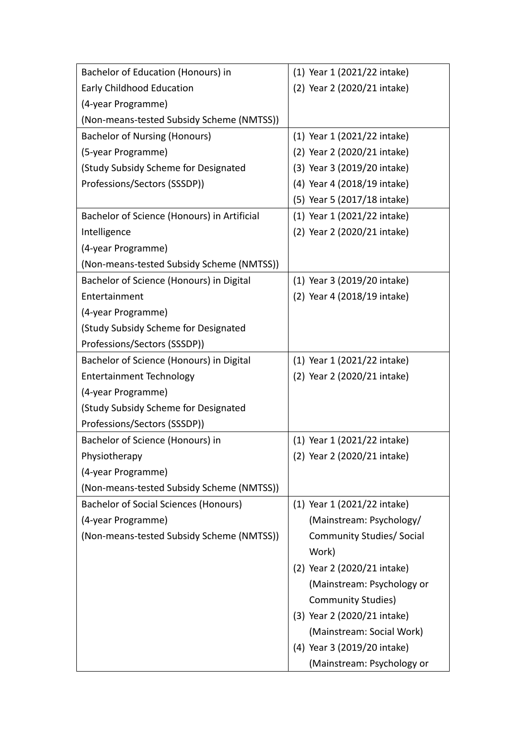| Bachelor of Education (Honours) in          | (1) Year 1 (2021/22 intake)      |  |
|---------------------------------------------|----------------------------------|--|
| Early Childhood Education                   | (2) Year 2 (2020/21 intake)      |  |
| (4-year Programme)                          |                                  |  |
| (Non-means-tested Subsidy Scheme (NMTSS))   |                                  |  |
| <b>Bachelor of Nursing (Honours)</b>        | (1) Year 1 (2021/22 intake)      |  |
| (5-year Programme)                          | (2) Year 2 (2020/21 intake)      |  |
| (Study Subsidy Scheme for Designated        | (3) Year 3 (2019/20 intake)      |  |
| Professions/Sectors (SSSDP))                | (4) Year 4 (2018/19 intake)      |  |
|                                             | (5) Year 5 (2017/18 intake)      |  |
| Bachelor of Science (Honours) in Artificial | (1) Year 1 (2021/22 intake)      |  |
| Intelligence                                | (2) Year 2 (2020/21 intake)      |  |
| (4-year Programme)                          |                                  |  |
| (Non-means-tested Subsidy Scheme (NMTSS))   |                                  |  |
| Bachelor of Science (Honours) in Digital    | (1) Year 3 (2019/20 intake)      |  |
| Entertainment                               | (2) Year 4 (2018/19 intake)      |  |
| (4-year Programme)                          |                                  |  |
| (Study Subsidy Scheme for Designated        |                                  |  |
| Professions/Sectors (SSSDP))                |                                  |  |
| Bachelor of Science (Honours) in Digital    | (1) Year 1 (2021/22 intake)      |  |
| <b>Entertainment Technology</b>             | (2) Year 2 (2020/21 intake)      |  |
| (4-year Programme)                          |                                  |  |
| (Study Subsidy Scheme for Designated        |                                  |  |
| Professions/Sectors (SSSDP))                |                                  |  |
| Bachelor of Science (Honours) in            | (1) Year 1 (2021/22 intake)      |  |
| Physiotherapy                               | (2) Year 2 (2020/21 intake)      |  |
| (4-year Programme)                          |                                  |  |
| (Non-means-tested Subsidy Scheme (NMTSS))   |                                  |  |
| Bachelor of Social Sciences (Honours)       | (1) Year 1 (2021/22 intake)      |  |
| (4-year Programme)                          | (Mainstream: Psychology/         |  |
| (Non-means-tested Subsidy Scheme (NMTSS))   | <b>Community Studies/ Social</b> |  |
|                                             | Work)                            |  |
|                                             | (2) Year 2 (2020/21 intake)      |  |
|                                             | (Mainstream: Psychology or       |  |
|                                             | <b>Community Studies)</b>        |  |
|                                             | (3) Year 2 (2020/21 intake)      |  |
|                                             | (Mainstream: Social Work)        |  |
|                                             | (4) Year 3 (2019/20 intake)      |  |
|                                             | (Mainstream: Psychology or       |  |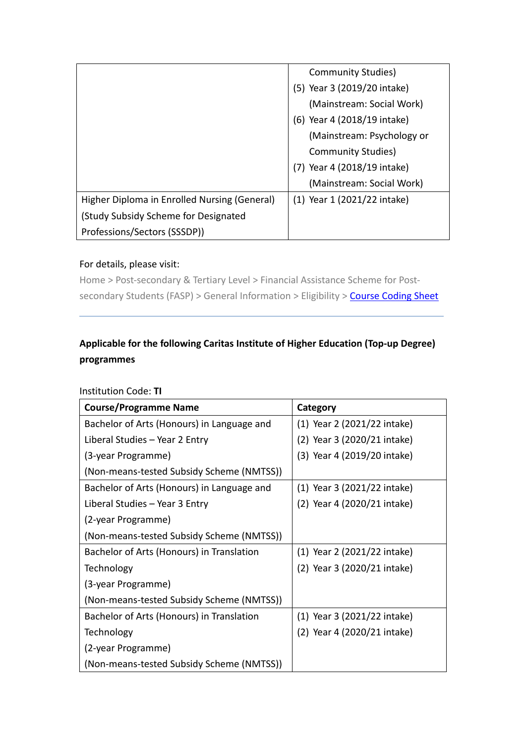|                                              | Community Studies)          |
|----------------------------------------------|-----------------------------|
|                                              | (5) Year 3 (2019/20 intake) |
|                                              | (Mainstream: Social Work)   |
|                                              | (6) Year 4 (2018/19 intake) |
|                                              | (Mainstream: Psychology or  |
|                                              | <b>Community Studies)</b>   |
|                                              | (7) Year 4 (2018/19 intake) |
|                                              | (Mainstream: Social Work)   |
| Higher Diploma in Enrolled Nursing (General) | (1) Year 1 (2021/22 intake) |
| (Study Subsidy Scheme for Designated         |                             |
| Professions/Sectors (SSSDP))                 |                             |

# For details, please visit:

Home > Post-secondary & Tertiary Level > Financial Assistance Scheme for Post-secondary Students (FASP) > General Information > Eligibility > [Course Coding Sheet](http://www.wfsfaa.gov.hk/sfo/pdf/common/faspcs/AI-CIHE.pdf)

# **Applicable for the following Caritas Institute of Higher Education (Top-up Degree) programmes**

| <b>Course/Programme Name</b>                                                         | Category                    |  |
|--------------------------------------------------------------------------------------|-----------------------------|--|
| Bachelor of Arts (Honours) in Language and                                           | (1) Year 2 (2021/22 intake) |  |
| Liberal Studies - Year 2 Entry                                                       | (2) Year 3 (2020/21 intake) |  |
| (3-year Programme)                                                                   | (3) Year 4 (2019/20 intake) |  |
| (Non-means-tested Subsidy Scheme (NMTSS))                                            |                             |  |
| Bachelor of Arts (Honours) in Language and<br>(1) Year 3 (2021/22 intake)            |                             |  |
| (2) Year 4 (2020/21 intake)<br>Liberal Studies - Year 3 Entry                        |                             |  |
| (2-year Programme)                                                                   |                             |  |
| (Non-means-tested Subsidy Scheme (NMTSS))                                            |                             |  |
| Bachelor of Arts (Honours) in Translation                                            | (1) Year 2 (2021/22 intake) |  |
| Technology                                                                           | (2) Year 3 (2020/21 intake) |  |
| (3-year Programme)                                                                   |                             |  |
| (Non-means-tested Subsidy Scheme (NMTSS))                                            |                             |  |
| Bachelor of Arts (Honours) in Translation<br>$(1)$ Year 3 $(2021/22 \text{ intake})$ |                             |  |
| (2) Year 4 (2020/21 intake)<br>Technology                                            |                             |  |
| (2-year Programme)                                                                   |                             |  |
| (Non-means-tested Subsidy Scheme (NMTSS))                                            |                             |  |

#### Institution Code: **TI**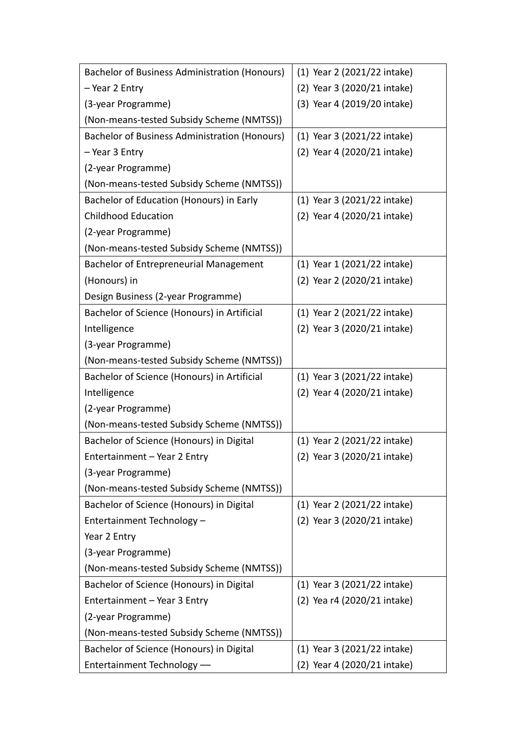| <b>Bachelor of Business Administration (Honours)</b> | (1) Year 2 (2021/22 intake) |  |
|------------------------------------------------------|-----------------------------|--|
| - Year 2 Entry                                       | (2) Year 3 (2020/21 intake) |  |
| (3-year Programme)                                   | (3) Year 4 (2019/20 intake) |  |
| (Non-means-tested Subsidy Scheme (NMTSS))            |                             |  |
| <b>Bachelor of Business Administration (Honours)</b> | (1) Year 3 (2021/22 intake) |  |
| - Year 3 Entry                                       | (2) Year 4 (2020/21 intake) |  |
| (2-year Programme)                                   |                             |  |
| (Non-means-tested Subsidy Scheme (NMTSS))            |                             |  |
| Bachelor of Education (Honours) in Early             | (1) Year 3 (2021/22 intake) |  |
| <b>Childhood Education</b>                           | (2) Year 4 (2020/21 intake) |  |
| (2-year Programme)                                   |                             |  |
| (Non-means-tested Subsidy Scheme (NMTSS))            |                             |  |
| Bachelor of Entrepreneurial Management               | (1) Year 1 (2021/22 intake) |  |
| (Honours) in                                         | (2) Year 2 (2020/21 intake) |  |
| Design Business (2-year Programme)                   |                             |  |
| Bachelor of Science (Honours) in Artificial          | (1) Year 2 (2021/22 intake) |  |
| Intelligence                                         | (2) Year 3 (2020/21 intake) |  |
| (3-year Programme)                                   |                             |  |
| (Non-means-tested Subsidy Scheme (NMTSS))            |                             |  |
| Bachelor of Science (Honours) in Artificial          | (1) Year 3 (2021/22 intake) |  |
| Intelligence                                         | (2) Year 4 (2020/21 intake) |  |
| (2-year Programme)                                   |                             |  |
| (Non-means-tested Subsidy Scheme (NMTSS))            |                             |  |
| Bachelor of Science (Honours) in Digital             | (1) Year 2 (2021/22 intake) |  |
| Entertainment - Year 2 Entry                         | (2) Year 3 (2020/21 intake) |  |
| (3-year Programme)                                   |                             |  |
| (Non-means-tested Subsidy Scheme (NMTSS))            |                             |  |
| Bachelor of Science (Honours) in Digital             | (1) Year 2 (2021/22 intake) |  |
| Entertainment Technology -                           | (2) Year 3 (2020/21 intake) |  |
| Year 2 Entry                                         |                             |  |
| (3-year Programme)                                   |                             |  |
| (Non-means-tested Subsidy Scheme (NMTSS))            |                             |  |
| Bachelor of Science (Honours) in Digital             | (1) Year 3 (2021/22 intake) |  |
| Entertainment - Year 3 Entry                         | (2) Yea r4 (2020/21 intake) |  |
| (2-year Programme)                                   |                             |  |
| (Non-means-tested Subsidy Scheme (NMTSS))            |                             |  |
| Bachelor of Science (Honours) in Digital             | (1) Year 3 (2021/22 intake) |  |
| Entertainment Technology -                           | (2) Year 4 (2020/21 intake) |  |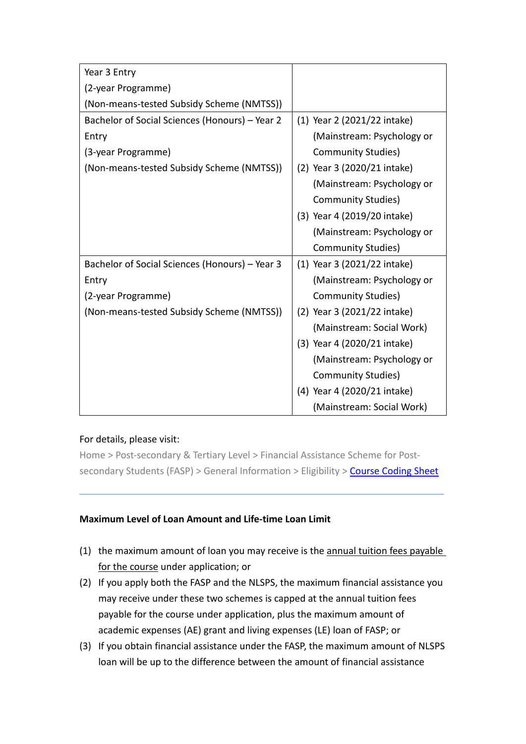| Year 3 Entry                                   |                             |
|------------------------------------------------|-----------------------------|
| (2-year Programme)                             |                             |
| (Non-means-tested Subsidy Scheme (NMTSS))      |                             |
| Bachelor of Social Sciences (Honours) - Year 2 | (1) Year 2 (2021/22 intake) |
| Entry                                          | (Mainstream: Psychology or  |
| (3-year Programme)                             | <b>Community Studies)</b>   |
| (Non-means-tested Subsidy Scheme (NMTSS))      | (2) Year 3 (2020/21 intake) |
|                                                | (Mainstream: Psychology or  |
|                                                | <b>Community Studies)</b>   |
|                                                | (3) Year 4 (2019/20 intake) |
|                                                | (Mainstream: Psychology or  |
|                                                | <b>Community Studies)</b>   |
| Bachelor of Social Sciences (Honours) - Year 3 | (1) Year 3 (2021/22 intake) |
| Entry                                          | (Mainstream: Psychology or  |
| (2-year Programme)                             | <b>Community Studies)</b>   |
| (Non-means-tested Subsidy Scheme (NMTSS))      | (2) Year 3 (2021/22 intake) |
|                                                | (Mainstream: Social Work)   |
|                                                | (3) Year 4 (2020/21 intake) |
|                                                | (Mainstream: Psychology or  |
|                                                | <b>Community Studies)</b>   |
|                                                | (4) Year 4 (2020/21 intake) |
|                                                | (Mainstream: Social Work)   |

### For details, please visit:

Home > Post-secondary & Tertiary Level > Financial Assistance Scheme for Post-secondary Students (FASP) > General Information > Eligibility > [Course Coding Sheet](http://www.wfsfaa.gov.hk/sfo/pdf/common/faspcs/TI-CIHE.pdf)

### **Maximum Level of Loan Amount and Life-time Loan Limit**

- (1) the maximum amount of loan you may receive is the annual tuition fees payable for the course under application; or
- (2) If you apply both the FASP and the NLSPS, the maximum financial assistance you may receive under these two schemes is capped at the annual tuition fees payable for the course under application, plus the maximum amount of academic expenses (AE) grant and living expenses (LE) loan of FASP; or
- (3) If you obtain financial assistance under the FASP, the maximum amount of NLSPS loan will be up to the difference between the amount of financial assistance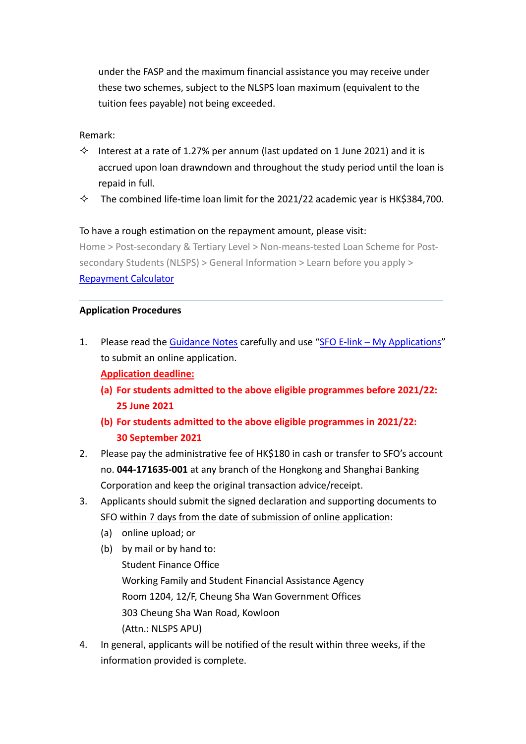under the FASP and the maximum financial assistance you may receive under these two schemes, subject to the NLSPS loan maximum (equivalent to the tuition fees payable) not being exceeded.

#### Remark:

- $\diamond$  Interest at a rate of 1.27% per annum (last updated on 1 June 2021) and it is accrued upon loan drawndown and throughout the study period until the loan is repaid in full.
- $\diamond$  The combined life-time loan limit for the 2021/22 academic year is HK\$384,700.

#### To have a rough estimation on the repayment amount, please visit:

Home > Post-secondary & Tertiary Level > Non-means-tested Loan Scheme for Postsecondary Students (NLSPS) > General Information > Learn before you apply > [Repayment](http://www.wfsfaa.gov.hk/sfo/en/postsecondary/nlsps/general/learn/e-link_calculator.htm) Calculator

#### **Application Procedures**

- 1. Please read the [Guidance Notes](http://www.wfsfaa.gov.hk/sfo/pdf/common/Form/nls/NLSPS1B.pdf) carefully and use "SFO E-link [My Applications"](https://e-link.wfsfaa.gov.hk/EBILLPRD/jsp_public/ens/ens0101.jsp?language=en) to submit an online application. **Application deadline:**
	- **(a) For students admitted to the above eligible programmes before 2021/22: 25 June 2021**
	- **(b) For students admitted to the above eligible programmes in 2021/22: 30 September 2021**
- 2. Please pay the administrative fee of HK\$180 in cash or transfer to SFO's account no. **044-171635-001** at any branch of the Hongkong and Shanghai Banking Corporation and keep the original transaction advice/receipt.
- 3. Applicants should submit the signed declaration and supporting documents to SFO within 7 days from the date of submission of online application:
	- (a) online upload; or
	- (b) by mail or by hand to: Student Finance Office Working Family and Student Financial Assistance Agency Room 1204, 12/F, Cheung Sha Wan Government Offices 303 Cheung Sha Wan Road, Kowloon (Attn.: NLSPS APU)
- 4. In general, applicants will be notified of the result within three weeks, if the information provided is complete.